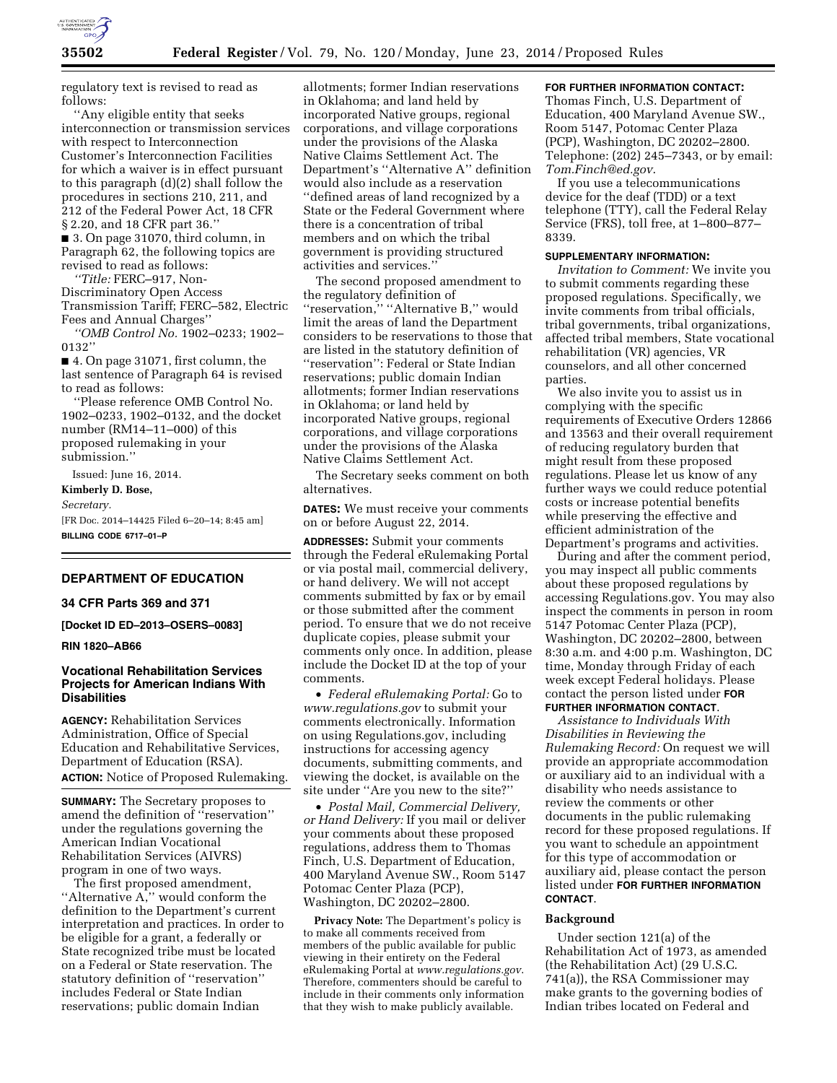

regulatory text is revised to read as follows:

''Any eligible entity that seeks interconnection or transmission services with respect to Interconnection Customer's Interconnection Facilities for which a waiver is in effect pursuant to this paragraph (d)(2) shall follow the procedures in sections 210, 211, and 212 of the Federal Power Act, 18 CFR § 2.20, and 18 CFR part 36.'' ■ 3. On page 31070, third column, in Paragraph 62, the following topics are revised to read as follows:

*''Title:* FERC–917, Non-Discriminatory Open Access Transmission Tariff; FERC–582, Electric Fees and Annual Charges''

*''OMB Control No.* 1902–0233; 1902– 0132''

■ 4. On page 31071, first column, the last sentence of Paragraph 64 is revised to read as follows:

''Please reference OMB Control No. 1902–0233, 1902–0132, and the docket number (RM14–11–000) of this proposed rulemaking in your submission.''

Issued: June 16, 2014.

**Kimberly D. Bose,** 

*Secretary.* 

[FR Doc. 2014–14425 Filed 6–20–14; 8:45 am] **BILLING CODE 6717–01–P** 

## **DEPARTMENT OF EDUCATION**

#### **34 CFR Parts 369 and 371**

**[Docket ID ED–2013–OSERS–0083]** 

#### **RIN 1820–AB66**

## **Vocational Rehabilitation Services Projects for American Indians With Disabilities**

**AGENCY:** Rehabilitation Services Administration, Office of Special Education and Rehabilitative Services, Department of Education (RSA). **ACTION:** Notice of Proposed Rulemaking.

**SUMMARY:** The Secretary proposes to amend the definition of ''reservation'' under the regulations governing the American Indian Vocational Rehabilitation Services (AIVRS) program in one of two ways.

The first proposed amendment, ''Alternative A,'' would conform the definition to the Department's current interpretation and practices. In order to be eligible for a grant, a federally or State recognized tribe must be located on a Federal or State reservation. The statutory definition of ''reservation'' includes Federal or State Indian reservations; public domain Indian

allotments; former Indian reservations in Oklahoma; and land held by incorporated Native groups, regional corporations, and village corporations under the provisions of the Alaska Native Claims Settlement Act. The Department's ''Alternative A'' definition would also include as a reservation ''defined areas of land recognized by a State or the Federal Government where there is a concentration of tribal members and on which the tribal government is providing structured activities and services.''

The second proposed amendment to the regulatory definition of ''reservation,'' ''Alternative B,'' would limit the areas of land the Department considers to be reservations to those that are listed in the statutory definition of ''reservation'': Federal or State Indian reservations; public domain Indian allotments; former Indian reservations in Oklahoma; or land held by incorporated Native groups, regional corporations, and village corporations under the provisions of the Alaska Native Claims Settlement Act.

The Secretary seeks comment on both alternatives.

**DATES:** We must receive your comments on or before August 22, 2014.

**ADDRESSES:** Submit your comments through the Federal eRulemaking Portal or via postal mail, commercial delivery, or hand delivery. We will not accept comments submitted by fax or by email or those submitted after the comment period. To ensure that we do not receive duplicate copies, please submit your comments only once. In addition, please include the Docket ID at the top of your comments.

• *Federal eRulemaking Portal:* Go to *[www.regulations.gov](http://www.regulations.gov)* to submit your comments electronically. Information on using Regulations.gov, including instructions for accessing agency documents, submitting comments, and viewing the docket, is available on the site under ''Are you new to the site?''

• *Postal Mail, Commercial Delivery, or Hand Delivery:* If you mail or deliver your comments about these proposed regulations, address them to Thomas Finch, U.S. Department of Education, 400 Maryland Avenue SW., Room 5147 Potomac Center Plaza (PCP), Washington, DC 20202–2800.

**Privacy Note:** The Department's policy is to make all comments received from members of the public available for public viewing in their entirety on the Federal eRulemaking Portal at *[www.regulations.gov](http://www.regulations.gov)*. Therefore, commenters should be careful to include in their comments only information that they wish to make publicly available.

# **FOR FURTHER INFORMATION CONTACT:**

Thomas Finch, U.S. Department of Education, 400 Maryland Avenue SW., Room 5147, Potomac Center Plaza (PCP), Washington, DC 20202–2800. Telephone: (202) 245–7343, or by email: *[Tom.Finch@ed.gov](mailto:Tom.Finch@ed.gov)*.

If you use a telecommunications device for the deaf (TDD) or a text telephone (TTY), call the Federal Relay Service (FRS), toll free, at 1–800–877– 8339.

### **SUPPLEMENTARY INFORMATION:**

*Invitation to Comment:* We invite you to submit comments regarding these proposed regulations. Specifically, we invite comments from tribal officials, tribal governments, tribal organizations, affected tribal members, State vocational rehabilitation (VR) agencies, VR counselors, and all other concerned parties.

We also invite you to assist us in complying with the specific requirements of Executive Orders 12866 and 13563 and their overall requirement of reducing regulatory burden that might result from these proposed regulations. Please let us know of any further ways we could reduce potential costs or increase potential benefits while preserving the effective and efficient administration of the Department's programs and activities.

During and after the comment period, you may inspect all public comments about these proposed regulations by accessing Regulations.gov. You may also inspect the comments in person in room 5147 Potomac Center Plaza (PCP), Washington, DC 20202–2800, between 8:30 a.m. and 4:00 p.m. Washington, DC time, Monday through Friday of each week except Federal holidays. Please contact the person listed under **FOR FURTHER INFORMATION CONTACT**.

*Assistance to Individuals With Disabilities in Reviewing the Rulemaking Record:* On request we will provide an appropriate accommodation or auxiliary aid to an individual with a disability who needs assistance to review the comments or other documents in the public rulemaking record for these proposed regulations. If you want to schedule an appointment for this type of accommodation or auxiliary aid, please contact the person listed under **FOR FURTHER INFORMATION CONTACT**.

#### **Background**

Under section 121(a) of the Rehabilitation Act of 1973, as amended (the Rehabilitation Act) (29 U.S.C. 741(a)), the RSA Commissioner may make grants to the governing bodies of Indian tribes located on Federal and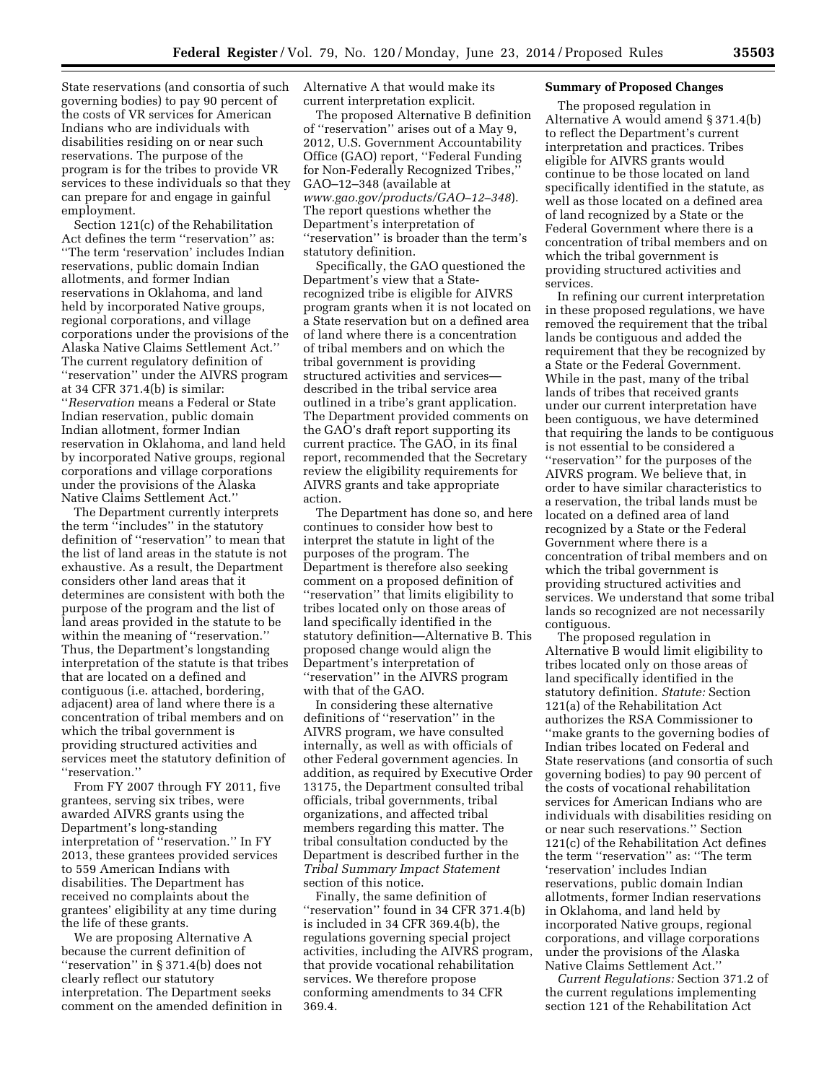State reservations (and consortia of such governing bodies) to pay 90 percent of the costs of VR services for American Indians who are individuals with disabilities residing on or near such reservations. The purpose of the program is for the tribes to provide VR services to these individuals so that they can prepare for and engage in gainful employment.

Section 121(c) of the Rehabilitation Act defines the term ''reservation'' as: ''The term 'reservation' includes Indian reservations, public domain Indian allotments, and former Indian reservations in Oklahoma, and land held by incorporated Native groups, regional corporations, and village corporations under the provisions of the Alaska Native Claims Settlement Act.'' The current regulatory definition of ''reservation'' under the AIVRS program at 34 CFR 371.4(b) is similar: ''*Reservation* means a Federal or State Indian reservation, public domain Indian allotment, former Indian reservation in Oklahoma, and land held by incorporated Native groups, regional corporations and village corporations under the provisions of the Alaska Native Claims Settlement Act.''

The Department currently interprets the term ''includes'' in the statutory definition of ''reservation'' to mean that the list of land areas in the statute is not exhaustive. As a result, the Department considers other land areas that it determines are consistent with both the purpose of the program and the list of land areas provided in the statute to be within the meaning of ''reservation.'' Thus, the Department's longstanding interpretation of the statute is that tribes that are located on a defined and contiguous (i.e. attached, bordering, adjacent) area of land where there is a concentration of tribal members and on which the tribal government is providing structured activities and services meet the statutory definition of ''reservation.''

From FY 2007 through FY 2011, five grantees, serving six tribes, were awarded AIVRS grants using the Department's long-standing interpretation of ''reservation.'' In FY 2013, these grantees provided services to 559 American Indians with disabilities. The Department has received no complaints about the grantees' eligibility at any time during the life of these grants.

We are proposing Alternative A because the current definition of ''reservation'' in § 371.4(b) does not clearly reflect our statutory interpretation. The Department seeks comment on the amended definition in Alternative A that would make its current interpretation explicit.

The proposed Alternative B definition of ''reservation'' arises out of a May 9, 2012, U.S. Government Accountability Office (GAO) report, ''Federal Funding for Non-Federally Recognized Tribes,'' GAO–12–348 (available at *[www.gao.gov/products/GAO–12–348](http://www.gao.gov/products/GAO-12-348)*). The report questions whether the Department's interpretation of ''reservation'' is broader than the term's statutory definition.

Specifically, the GAO questioned the Department's view that a Staterecognized tribe is eligible for AIVRS program grants when it is not located on a State reservation but on a defined area of land where there is a concentration of tribal members and on which the tribal government is providing structured activities and services described in the tribal service area outlined in a tribe's grant application. The Department provided comments on the GAO's draft report supporting its current practice. The GAO, in its final report, recommended that the Secretary review the eligibility requirements for AIVRS grants and take appropriate action.

The Department has done so, and here continues to consider how best to interpret the statute in light of the purposes of the program. The Department is therefore also seeking comment on a proposed definition of ''reservation'' that limits eligibility to tribes located only on those areas of land specifically identified in the statutory definition—Alternative B. This proposed change would align the Department's interpretation of ''reservation'' in the AIVRS program with that of the GAO.

In considering these alternative definitions of ''reservation'' in the AIVRS program, we have consulted internally, as well as with officials of other Federal government agencies. In addition, as required by Executive Order 13175, the Department consulted tribal officials, tribal governments, tribal organizations, and affected tribal members regarding this matter. The tribal consultation conducted by the Department is described further in the *Tribal Summary Impact Statement*  section of this notice.

Finally, the same definition of ''reservation'' found in 34 CFR 371.4(b) is included in 34 CFR 369.4(b), the regulations governing special project activities, including the AIVRS program, that provide vocational rehabilitation services. We therefore propose conforming amendments to 34 CFR 369.4.

# **Summary of Proposed Changes**

The proposed regulation in Alternative A would amend § 371.4(b) to reflect the Department's current interpretation and practices. Tribes eligible for AIVRS grants would continue to be those located on land specifically identified in the statute, as well as those located on a defined area of land recognized by a State or the Federal Government where there is a concentration of tribal members and on which the tribal government is providing structured activities and services.

In refining our current interpretation in these proposed regulations, we have removed the requirement that the tribal lands be contiguous and added the requirement that they be recognized by a State or the Federal Government. While in the past, many of the tribal lands of tribes that received grants under our current interpretation have been contiguous, we have determined that requiring the lands to be contiguous is not essential to be considered a ''reservation'' for the purposes of the AIVRS program. We believe that, in order to have similar characteristics to a reservation, the tribal lands must be located on a defined area of land recognized by a State or the Federal Government where there is a concentration of tribal members and on which the tribal government is providing structured activities and services. We understand that some tribal lands so recognized are not necessarily contiguous.

The proposed regulation in Alternative B would limit eligibility to tribes located only on those areas of land specifically identified in the statutory definition. *Statute:* Section 121(a) of the Rehabilitation Act authorizes the RSA Commissioner to ''make grants to the governing bodies of Indian tribes located on Federal and State reservations (and consortia of such governing bodies) to pay 90 percent of the costs of vocational rehabilitation services for American Indians who are individuals with disabilities residing on or near such reservations.'' Section 121(c) of the Rehabilitation Act defines the term ''reservation'' as: ''The term 'reservation' includes Indian reservations, public domain Indian allotments, former Indian reservations in Oklahoma, and land held by incorporated Native groups, regional corporations, and village corporations under the provisions of the Alaska Native Claims Settlement Act.''

*Current Regulations:* Section 371.2 of the current regulations implementing section 121 of the Rehabilitation Act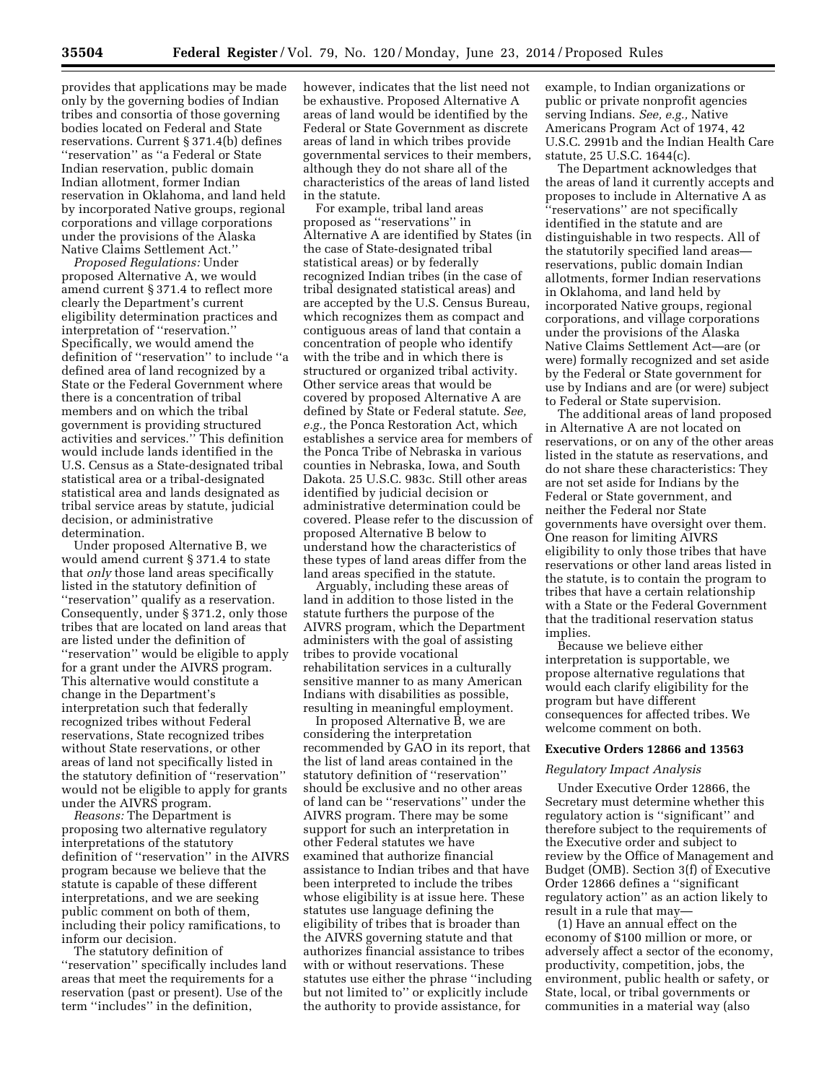provides that applications may be made only by the governing bodies of Indian tribes and consortia of those governing bodies located on Federal and State reservations. Current § 371.4(b) defines ''reservation'' as ''a Federal or State Indian reservation, public domain Indian allotment, former Indian reservation in Oklahoma, and land held by incorporated Native groups, regional corporations and village corporations under the provisions of the Alaska Native Claims Settlement Act.''

*Proposed Regulations:* Under proposed Alternative A, we would amend current § 371.4 to reflect more clearly the Department's current eligibility determination practices and interpretation of ''reservation.'' Specifically, we would amend the definition of ''reservation'' to include ''a defined area of land recognized by a State or the Federal Government where there is a concentration of tribal members and on which the tribal government is providing structured activities and services.'' This definition would include lands identified in the U.S. Census as a State-designated tribal statistical area or a tribal-designated statistical area and lands designated as tribal service areas by statute, judicial decision, or administrative determination.

Under proposed Alternative B, we would amend current § 371.4 to state that *only* those land areas specifically listed in the statutory definition of ''reservation'' qualify as a reservation. Consequently, under § 371.2, only those tribes that are located on land areas that are listed under the definition of ''reservation'' would be eligible to apply for a grant under the AIVRS program. This alternative would constitute a change in the Department's interpretation such that federally recognized tribes without Federal reservations, State recognized tribes without State reservations, or other areas of land not specifically listed in the statutory definition of ''reservation'' would not be eligible to apply for grants under the AIVRS program.

*Reasons:* The Department is proposing two alternative regulatory interpretations of the statutory definition of ''reservation'' in the AIVRS program because we believe that the statute is capable of these different interpretations, and we are seeking public comment on both of them, including their policy ramifications, to inform our decision.

The statutory definition of ''reservation'' specifically includes land areas that meet the requirements for a reservation (past or present). Use of the term ''includes'' in the definition,

however, indicates that the list need not be exhaustive. Proposed Alternative A areas of land would be identified by the Federal or State Government as discrete areas of land in which tribes provide governmental services to their members, although they do not share all of the characteristics of the areas of land listed in the statute.

For example, tribal land areas proposed as ''reservations'' in Alternative A are identified by States (in the case of State-designated tribal statistical areas) or by federally recognized Indian tribes (in the case of tribal designated statistical areas) and are accepted by the U.S. Census Bureau, which recognizes them as compact and contiguous areas of land that contain a concentration of people who identify with the tribe and in which there is structured or organized tribal activity. Other service areas that would be covered by proposed Alternative A are defined by State or Federal statute. *See, e.g.,* the Ponca Restoration Act, which establishes a service area for members of the Ponca Tribe of Nebraska in various counties in Nebraska, Iowa, and South Dakota. 25 U.S.C. 983c. Still other areas identified by judicial decision or administrative determination could be covered. Please refer to the discussion of proposed Alternative B below to understand how the characteristics of these types of land areas differ from the land areas specified in the statute.

Arguably, including these areas of land in addition to those listed in the statute furthers the purpose of the AIVRS program, which the Department administers with the goal of assisting tribes to provide vocational rehabilitation services in a culturally sensitive manner to as many American Indians with disabilities as possible, resulting in meaningful employment.

In proposed Alternative B, we are considering the interpretation recommended by GAO in its report, that the list of land areas contained in the statutory definition of ''reservation'' should be exclusive and no other areas of land can be ''reservations'' under the AIVRS program. There may be some support for such an interpretation in other Federal statutes we have examined that authorize financial assistance to Indian tribes and that have been interpreted to include the tribes whose eligibility is at issue here. These statutes use language defining the eligibility of tribes that is broader than the AIVRS governing statute and that authorizes financial assistance to tribes with or without reservations. These statutes use either the phrase ''including but not limited to'' or explicitly include the authority to provide assistance, for

example, to Indian organizations or public or private nonprofit agencies serving Indians. *See, e.g.,* Native Americans Program Act of 1974, 42 U.S.C. 2991b and the Indian Health Care statute, 25 U.S.C. 1644(c).

The Department acknowledges that the areas of land it currently accepts and proposes to include in Alternative A as ''reservations'' are not specifically identified in the statute and are distinguishable in two respects. All of the statutorily specified land areas reservations, public domain Indian allotments, former Indian reservations in Oklahoma, and land held by incorporated Native groups, regional corporations, and village corporations under the provisions of the Alaska Native Claims Settlement Act—are (or were) formally recognized and set aside by the Federal or State government for use by Indians and are (or were) subject to Federal or State supervision.

The additional areas of land proposed in Alternative A are not located on reservations, or on any of the other areas listed in the statute as reservations, and do not share these characteristics: They are not set aside for Indians by the Federal or State government, and neither the Federal nor State governments have oversight over them. One reason for limiting AIVRS eligibility to only those tribes that have reservations or other land areas listed in the statute, is to contain the program to tribes that have a certain relationship with a State or the Federal Government that the traditional reservation status implies.

Because we believe either interpretation is supportable, we propose alternative regulations that would each clarify eligibility for the program but have different consequences for affected tribes. We welcome comment on both.

## **Executive Orders 12866 and 13563**

#### *Regulatory Impact Analysis*

Under Executive Order 12866, the Secretary must determine whether this regulatory action is ''significant'' and therefore subject to the requirements of the Executive order and subject to review by the Office of Management and Budget (OMB). Section 3(f) of Executive Order 12866 defines a ''significant regulatory action'' as an action likely to result in a rule that may—

(1) Have an annual effect on the economy of \$100 million or more, or adversely affect a sector of the economy, productivity, competition, jobs, the environment, public health or safety, or State, local, or tribal governments or communities in a material way (also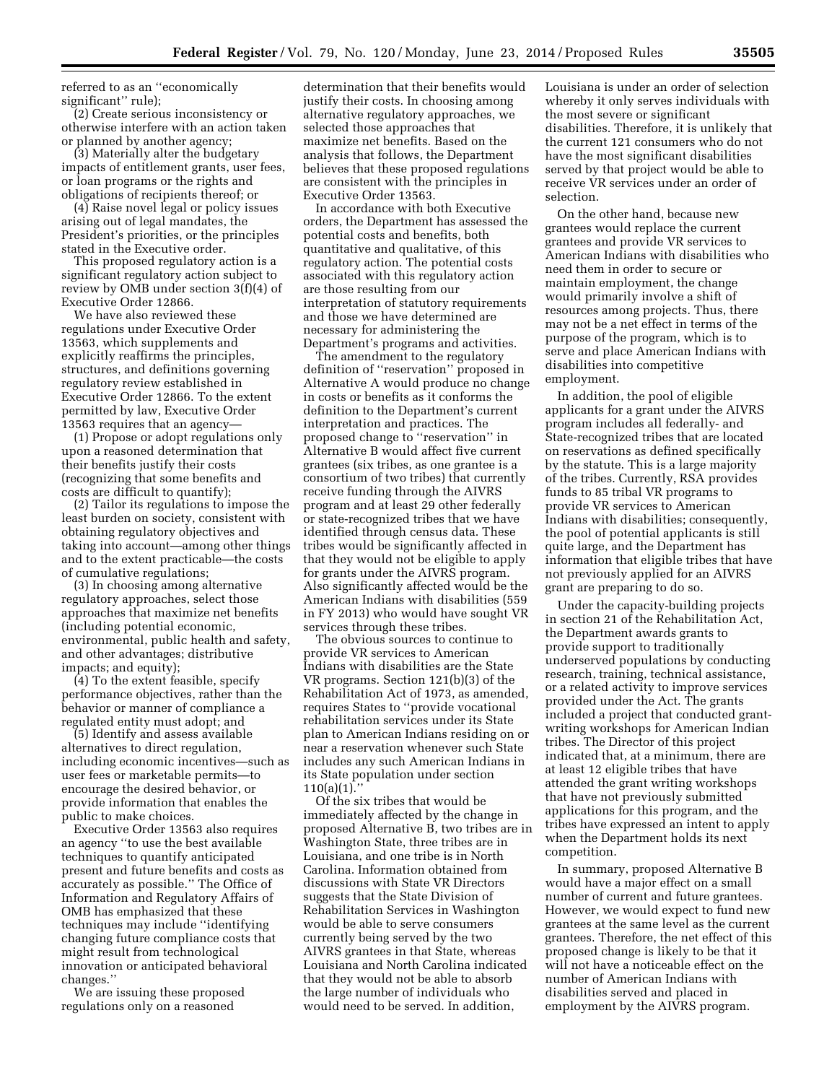referred to as an ''economically significant'' rule);

(2) Create serious inconsistency or otherwise interfere with an action taken or planned by another agency;

(3) Materially alter the budgetary impacts of entitlement grants, user fees, or loan programs or the rights and obligations of recipients thereof; or

(4) Raise novel legal or policy issues arising out of legal mandates, the President's priorities, or the principles stated in the Executive order.

This proposed regulatory action is a significant regulatory action subject to review by OMB under section 3(f)(4) of Executive Order 12866.

We have also reviewed these regulations under Executive Order 13563, which supplements and explicitly reaffirms the principles, structures, and definitions governing regulatory review established in Executive Order 12866. To the extent permitted by law, Executive Order 13563 requires that an agency—

(1) Propose or adopt regulations only upon a reasoned determination that their benefits justify their costs (recognizing that some benefits and costs are difficult to quantify);

(2) Tailor its regulations to impose the least burden on society, consistent with obtaining regulatory objectives and taking into account—among other things and to the extent practicable—the costs of cumulative regulations;

(3) In choosing among alternative regulatory approaches, select those approaches that maximize net benefits (including potential economic, environmental, public health and safety, and other advantages; distributive impacts; and equity);

(4) To the extent feasible, specify performance objectives, rather than the behavior or manner of compliance a regulated entity must adopt; and

(5) Identify and assess available alternatives to direct regulation, including economic incentives—such as user fees or marketable permits—to encourage the desired behavior, or provide information that enables the public to make choices.

Executive Order 13563 also requires an agency ''to use the best available techniques to quantify anticipated present and future benefits and costs as accurately as possible.'' The Office of Information and Regulatory Affairs of OMB has emphasized that these techniques may include ''identifying changing future compliance costs that might result from technological innovation or anticipated behavioral changes.''

We are issuing these proposed regulations only on a reasoned

determination that their benefits would justify their costs. In choosing among alternative regulatory approaches, we selected those approaches that maximize net benefits. Based on the analysis that follows, the Department believes that these proposed regulations are consistent with the principles in Executive Order 13563.

In accordance with both Executive orders, the Department has assessed the potential costs and benefits, both quantitative and qualitative, of this regulatory action. The potential costs associated with this regulatory action are those resulting from our interpretation of statutory requirements and those we have determined are necessary for administering the Department's programs and activities.

The amendment to the regulatory definition of ''reservation'' proposed in Alternative A would produce no change in costs or benefits as it conforms the definition to the Department's current interpretation and practices. The proposed change to ''reservation'' in Alternative B would affect five current grantees (six tribes, as one grantee is a consortium of two tribes) that currently receive funding through the AIVRS program and at least 29 other federally or state-recognized tribes that we have identified through census data. These tribes would be significantly affected in that they would not be eligible to apply for grants under the AIVRS program. Also significantly affected would be the American Indians with disabilities (559 in FY 2013) who would have sought VR services through these tribes.

The obvious sources to continue to provide VR services to American Indians with disabilities are the State VR programs. Section 121(b)(3) of the Rehabilitation Act of 1973, as amended, requires States to ''provide vocational rehabilitation services under its State plan to American Indians residing on or near a reservation whenever such State includes any such American Indians in its State population under section  $110(a)(1)$ .

Of the six tribes that would be immediately affected by the change in proposed Alternative B, two tribes are in Washington State, three tribes are in Louisiana, and one tribe is in North Carolina. Information obtained from discussions with State VR Directors suggests that the State Division of Rehabilitation Services in Washington would be able to serve consumers currently being served by the two AIVRS grantees in that State, whereas Louisiana and North Carolina indicated that they would not be able to absorb the large number of individuals who would need to be served. In addition,

Louisiana is under an order of selection whereby it only serves individuals with the most severe or significant disabilities. Therefore, it is unlikely that the current 121 consumers who do not have the most significant disabilities served by that project would be able to receive VR services under an order of selection.

On the other hand, because new grantees would replace the current grantees and provide VR services to American Indians with disabilities who need them in order to secure or maintain employment, the change would primarily involve a shift of resources among projects. Thus, there may not be a net effect in terms of the purpose of the program, which is to serve and place American Indians with disabilities into competitive employment.

In addition, the pool of eligible applicants for a grant under the AIVRS program includes all federally- and State-recognized tribes that are located on reservations as defined specifically by the statute. This is a large majority of the tribes. Currently, RSA provides funds to 85 tribal VR programs to provide VR services to American Indians with disabilities; consequently, the pool of potential applicants is still quite large, and the Department has information that eligible tribes that have not previously applied for an AIVRS grant are preparing to do so.

Under the capacity-building projects in section 21 of the Rehabilitation Act, the Department awards grants to provide support to traditionally underserved populations by conducting research, training, technical assistance, or a related activity to improve services provided under the Act. The grants included a project that conducted grantwriting workshops for American Indian tribes. The Director of this project indicated that, at a minimum, there are at least 12 eligible tribes that have attended the grant writing workshops that have not previously submitted applications for this program, and the tribes have expressed an intent to apply when the Department holds its next competition.

In summary, proposed Alternative B would have a major effect on a small number of current and future grantees. However, we would expect to fund new grantees at the same level as the current grantees. Therefore, the net effect of this proposed change is likely to be that it will not have a noticeable effect on the number of American Indians with disabilities served and placed in employment by the AIVRS program.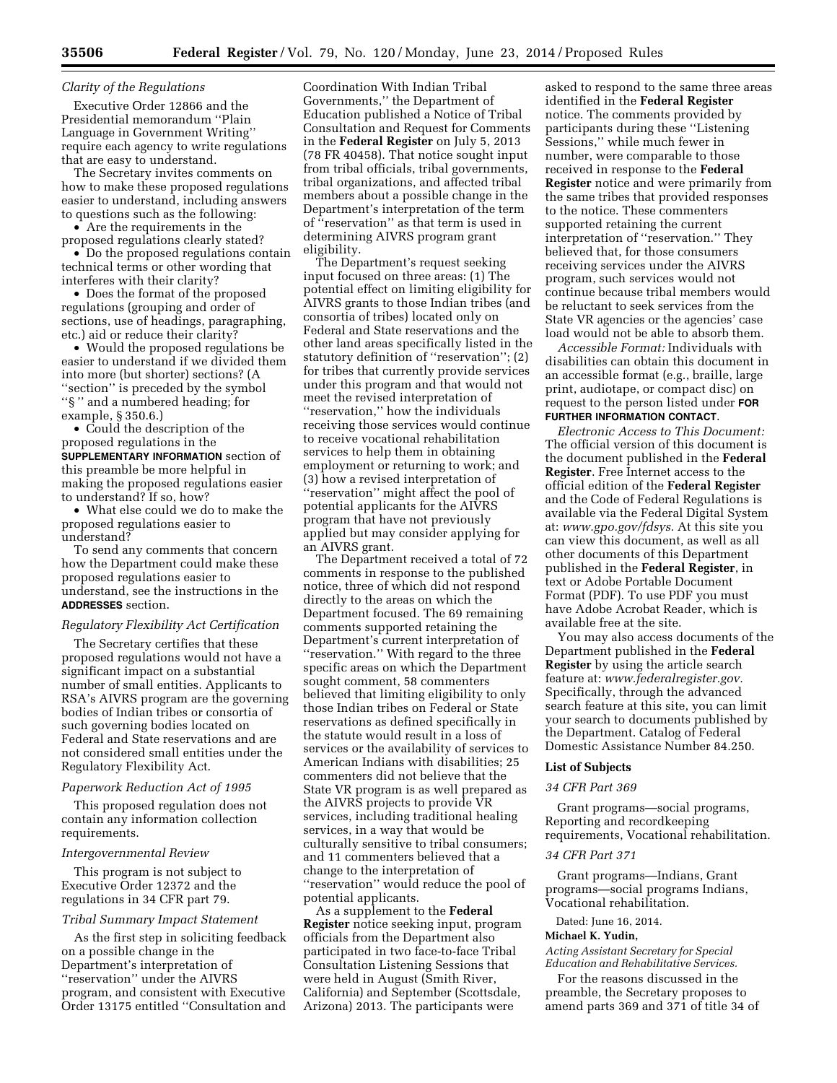# *Clarity of the Regulations*

Executive Order 12866 and the Presidential memorandum ''Plain Language in Government Writing'' require each agency to write regulations that are easy to understand.

The Secretary invites comments on how to make these proposed regulations easier to understand, including answers to questions such as the following:

• Are the requirements in the proposed regulations clearly stated?

• Do the proposed regulations contain technical terms or other wording that interferes with their clarity?

• Does the format of the proposed regulations (grouping and order of sections, use of headings, paragraphing, etc.) aid or reduce their clarity?

• Would the proposed regulations be easier to understand if we divided them into more (but shorter) sections? (A "section" is preceded by the symbol ''§ '' and a numbered heading; for example, § 350.6.)

• Could the description of the proposed regulations in the **SUPPLEMENTARY INFORMATION** section of this preamble be more helpful in making the proposed regulations easier to understand? If so, how?

• What else could we do to make the proposed regulations easier to understand?

To send any comments that concern how the Department could make these proposed regulations easier to understand, see the instructions in the **ADDRESSES** section.

#### *Regulatory Flexibility Act Certification*

The Secretary certifies that these proposed regulations would not have a significant impact on a substantial number of small entities. Applicants to RSA's AIVRS program are the governing bodies of Indian tribes or consortia of such governing bodies located on Federal and State reservations and are not considered small entities under the Regulatory Flexibility Act.

#### *Paperwork Reduction Act of 1995*

This proposed regulation does not contain any information collection requirements.

#### *Intergovernmental Review*

This program is not subject to Executive Order 12372 and the regulations in 34 CFR part 79.

#### *Tribal Summary Impact Statement*

As the first step in soliciting feedback on a possible change in the Department's interpretation of ''reservation'' under the AIVRS program, and consistent with Executive Order 13175 entitled ''Consultation and

Coordination With Indian Tribal Governments,'' the Department of Education published a Notice of Tribal Consultation and Request for Comments in the **Federal Register** on July 5, 2013 (78 FR 40458). That notice sought input from tribal officials, tribal governments, tribal organizations, and affected tribal members about a possible change in the Department's interpretation of the term of ''reservation'' as that term is used in determining AIVRS program grant eligibility.

The Department's request seeking input focused on three areas: (1) The potential effect on limiting eligibility for AIVRS grants to those Indian tribes (and consortia of tribes) located only on Federal and State reservations and the other land areas specifically listed in the statutory definition of ''reservation''; (2) for tribes that currently provide services under this program and that would not meet the revised interpretation of ''reservation,'' how the individuals receiving those services would continue to receive vocational rehabilitation services to help them in obtaining employment or returning to work; and (3) how a revised interpretation of ''reservation'' might affect the pool of potential applicants for the AIVRS program that have not previously applied but may consider applying for an AIVRS grant.

The Department received a total of 72 comments in response to the published notice, three of which did not respond directly to the areas on which the Department focused. The 69 remaining comments supported retaining the Department's current interpretation of ''reservation.'' With regard to the three specific areas on which the Department sought comment, 58 commenters believed that limiting eligibility to only those Indian tribes on Federal or State reservations as defined specifically in the statute would result in a loss of services or the availability of services to American Indians with disabilities; 25 commenters did not believe that the State VR program is as well prepared as the AIVRS projects to provide VR services, including traditional healing services, in a way that would be culturally sensitive to tribal consumers; and 11 commenters believed that a change to the interpretation of ''reservation'' would reduce the pool of potential applicants.

As a supplement to the **Federal Register** notice seeking input, program officials from the Department also participated in two face-to-face Tribal Consultation Listening Sessions that were held in August (Smith River, California) and September (Scottsdale, Arizona) 2013. The participants were

asked to respond to the same three areas identified in the **Federal Register**  notice. The comments provided by participants during these ''Listening Sessions,'' while much fewer in number, were comparable to those received in response to the **Federal Register** notice and were primarily from the same tribes that provided responses to the notice. These commenters supported retaining the current interpretation of ''reservation.'' They believed that, for those consumers receiving services under the AIVRS program, such services would not continue because tribal members would be reluctant to seek services from the State VR agencies or the agencies' case load would not be able to absorb them.

*Accessible Format:* Individuals with disabilities can obtain this document in an accessible format (e.g., braille, large print, audiotape, or compact disc) on request to the person listed under **FOR FURTHER INFORMATION CONTACT**.

*Electronic Access to This Document:*  The official version of this document is the document published in the **Federal Register**. Free Internet access to the official edition of the **Federal Register**  and the Code of Federal Regulations is available via the Federal Digital System at: *[www.gpo.gov/fdsys.](http://www.gpo.gov/fdsys)* At this site you can view this document, as well as all other documents of this Department published in the **Federal Register**, in text or Adobe Portable Document Format (PDF). To use PDF you must have Adobe Acrobat Reader, which is available free at the site.

You may also access documents of the Department published in the **Federal Register** by using the article search feature at: *[www.federalregister.gov.](http://www.federalregister.gov)*  Specifically, through the advanced search feature at this site, you can limit your search to documents published by the Department. Catalog of Federal Domestic Assistance Number 84.250.

#### **List of Subjects**

#### *34 CFR Part 369*

Grant programs—social programs, Reporting and recordkeeping requirements, Vocational rehabilitation.

## *34 CFR Part 371*

Grant programs—Indians, Grant programs—social programs Indians, Vocational rehabilitation.

Dated: June 16, 2014.

#### **Michael K. Yudin,**

*Acting Assistant Secretary for Special Education and Rehabilitative Services.* 

For the reasons discussed in the preamble, the Secretary proposes to amend parts 369 and 371 of title 34 of